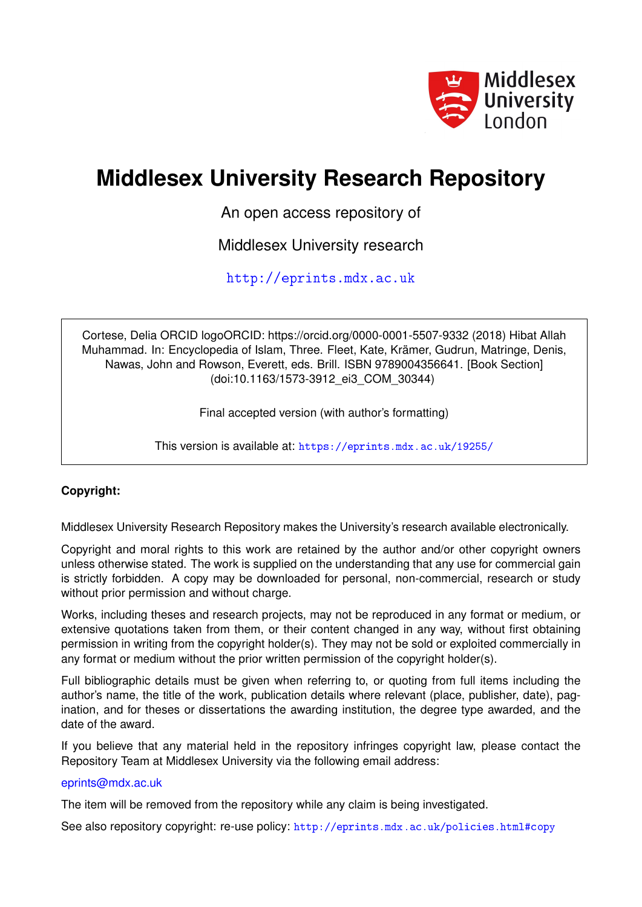

# **Middlesex University Research Repository**

An open access repository of

Middlesex University research

<http://eprints.mdx.ac.uk>

Cortese, Delia ORCID logoORCID: https://orcid.org/0000-0001-5507-9332 (2018) Hibat Allah Muhammad. In: Encyclopedia of Islam, Three. Fleet, Kate, Krämer, Gudrun, Matringe, Denis, Nawas, John and Rowson, Everett, eds. Brill. ISBN 9789004356641. [Book Section] (doi:10.1163/1573-3912\_ei3\_COM\_30344)

Final accepted version (with author's formatting)

This version is available at: <https://eprints.mdx.ac.uk/19255/>

### **Copyright:**

Middlesex University Research Repository makes the University's research available electronically.

Copyright and moral rights to this work are retained by the author and/or other copyright owners unless otherwise stated. The work is supplied on the understanding that any use for commercial gain is strictly forbidden. A copy may be downloaded for personal, non-commercial, research or study without prior permission and without charge.

Works, including theses and research projects, may not be reproduced in any format or medium, or extensive quotations taken from them, or their content changed in any way, without first obtaining permission in writing from the copyright holder(s). They may not be sold or exploited commercially in any format or medium without the prior written permission of the copyright holder(s).

Full bibliographic details must be given when referring to, or quoting from full items including the author's name, the title of the work, publication details where relevant (place, publisher, date), pagination, and for theses or dissertations the awarding institution, the degree type awarded, and the date of the award.

If you believe that any material held in the repository infringes copyright law, please contact the Repository Team at Middlesex University via the following email address:

#### [eprints@mdx.ac.uk](mailto:eprints@mdx.ac.uk)

The item will be removed from the repository while any claim is being investigated.

See also repository copyright: re-use policy: <http://eprints.mdx.ac.uk/policies.html#copy>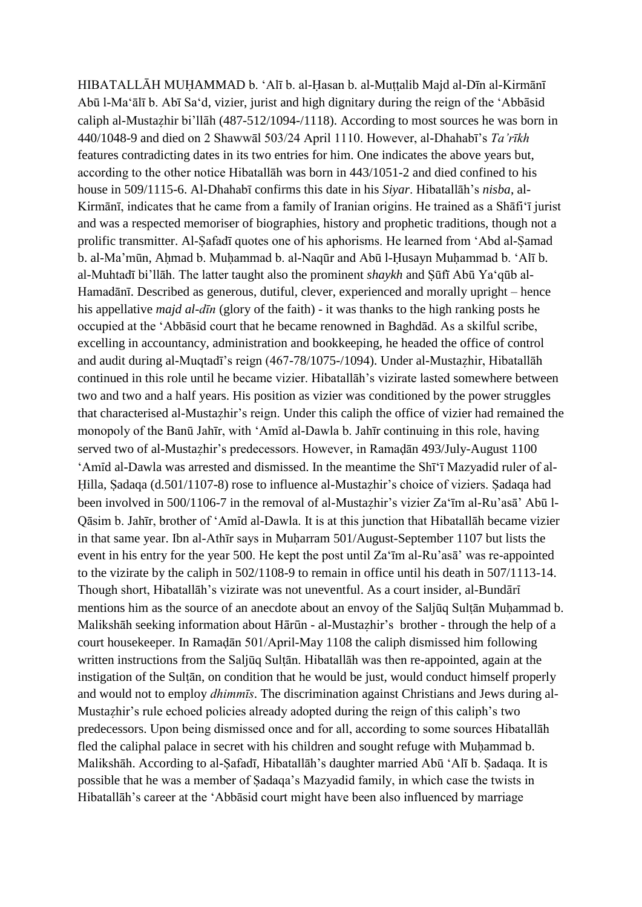HIBATALLĀH MUḤAMMAD b. 'Alī b. al-Ḥasan b. al-Muṭṭalib Majd al-Dīn al-Kirmānī Abū l-Ma'ālī b. Abī Sa'd, vizier, jurist and high dignitary during the reign of the 'Abbāsid caliph al-Mustaẓhir bi'llāh (487-512/1094-/1118). According to most sources he was born in 440/1048-9 and died on 2 Shawwāl 503/24 April 1110. However, al-Dhahabī's *Ta'rīkh*  features contradicting dates in its two entries for him. One indicates the above years but, according to the other notice Hibatallāh was born in 443/1051-2 and died confined to his house in 509/1115-6. Al-Dhahabī confirms this date in his *Siyar*. Hibatallāh's *nisba*, al-Kirmānī, indicates that he came from a family of Iranian origins. He trained as a Shāfi'ī jurist and was a respected memoriser of biographies, history and prophetic traditions, though not a prolific transmitter. Al-Ṣafadī quotes one of his aphorisms. He learned from 'Abd al-Ṣamad b. al-Ma'mūn, Aḥmad b. Muḥammad b. al-Naqūr and Abū l-Ḥusayn Muḥammad b. 'Alī b. al-Muhtadī bi'llāh. The latter taught also the prominent *shaykh* and Ṣūfī Abū Ya'qūb al-Hamadānī. Described as generous, dutiful, clever, experienced and morally upright – hence his appellative *majd al-dīn* (glory of the faith) - it was thanks to the high ranking posts he occupied at the 'Abbāsid court that he became renowned in Baghdād. As a skilful scribe, excelling in accountancy, administration and bookkeeping, he headed the office of control and audit during al-Muqtadī's reign (467-78/1075-/1094). Under al-Mustaẓhir, Hibatallāh continued in this role until he became vizier. Hibatallāh's vizirate lasted somewhere between two and two and a half years. His position as vizier was conditioned by the power struggles that characterised al-Mustaẓhir's reign. Under this caliph the office of vizier had remained the monopoly of the Banū Jahīr, with 'Amīd al-Dawla b. Jahīr continuing in this role, having served two of al-Mustazhir's predecessors. However, in Ramaḍān 493/July-August 1100 'Amīd al-Dawla was arrested and dismissed. In the meantime the Shī'ī Mazyadid ruler of al-Ḥilla, Ṣadaqa (d.501/1107-8) rose to influence al-Mustaẓhir's choice of viziers. Ṣadaqa had been involved in 500/1106-7 in the removal of al-Mustaẓhir's vizier Za'īm al-Ru'asā' Abū l-Qāsim b. Jahīr, brother of 'Amīd al-Dawla. It is at this junction that Hibatallāh became vizier in that same year. Ibn al-Athīr says in Muharram 501/August-September 1107 but lists the event in his entry for the year 500. He kept the post until Za'īm al-Ru'asā' was re-appointed to the vizirate by the caliph in 502/1108-9 to remain in office until his death in 507/1113-14. Though short, Hibatallāh's vizirate was not uneventful. As a court insider, al-Bundārī mentions him as the source of an anecdote about an envoy of the Saljūq Sulṭān Muḥammad b. Malikshāh seeking information about Hārūn - al-Mustaẓhir's brother - through the help of a court housekeeper. In Ramaḍān 501/April-May 1108 the caliph dismissed him following written instructions from the Saljūq Sulṭān. Hibatallāh was then re-appointed, again at the instigation of the Sultan, on condition that he would be just, would conduct himself properly and would not to employ *dhimmīs*. The discrimination against Christians and Jews during al-Mustaẓhir's rule echoed policies already adopted during the reign of this caliph's two predecessors. Upon being dismissed once and for all, according to some sources Hibatallāh fled the caliphal palace in secret with his children and sought refuge with Muḥammad b. Malikshāh. According to al-Ṣafadī, Hibatallāh's daughter married Abū 'Alī b. Ṣadaqa. It is possible that he was a member of Ṣadaqa's Mazyadid family, in which case the twists in Hibatallāh's career at the 'Abbāsid court might have been also influenced by marriage